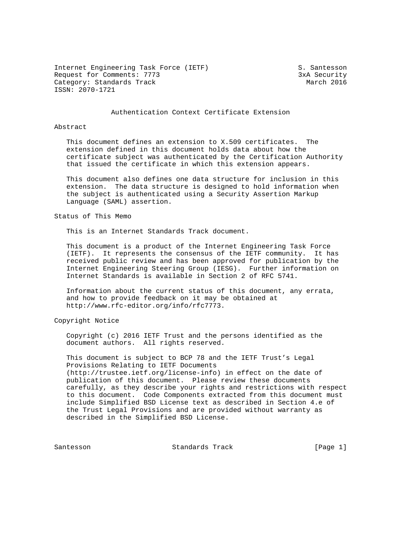Internet Engineering Task Force (IETF) S. Santesson Request for Comments: 7773 3xA Security Category: Standards Track March 2016 ISSN: 2070-1721

#### Authentication Context Certificate Extension

#### Abstract

 This document defines an extension to X.509 certificates. The extension defined in this document holds data about how the certificate subject was authenticated by the Certification Authority that issued the certificate in which this extension appears.

 This document also defines one data structure for inclusion in this extension. The data structure is designed to hold information when the subject is authenticated using a Security Assertion Markup Language (SAML) assertion.

Status of This Memo

This is an Internet Standards Track document.

 This document is a product of the Internet Engineering Task Force (IETF). It represents the consensus of the IETF community. It has received public review and has been approved for publication by the Internet Engineering Steering Group (IESG). Further information on Internet Standards is available in Section 2 of RFC 5741.

 Information about the current status of this document, any errata, and how to provide feedback on it may be obtained at http://www.rfc-editor.org/info/rfc7773.

Copyright Notice

 Copyright (c) 2016 IETF Trust and the persons identified as the document authors. All rights reserved.

 This document is subject to BCP 78 and the IETF Trust's Legal Provisions Relating to IETF Documents (http://trustee.ietf.org/license-info) in effect on the date of publication of this document. Please review these documents carefully, as they describe your rights and restrictions with respect to this document. Code Components extracted from this document must include Simplified BSD License text as described in Section 4.e of the Trust Legal Provisions and are provided without warranty as described in the Simplified BSD License.

Santesson Standards Track [Page 1]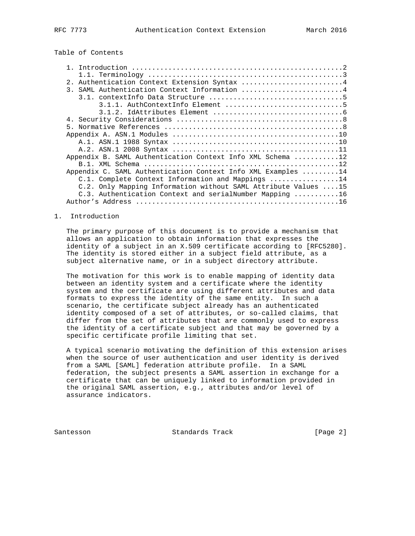# Table of Contents

| Authentication Context Extension Syntax 4<br>2 <sub>1</sub>    |
|----------------------------------------------------------------|
| 3. SAML Authentication Context Information 4                   |
|                                                                |
|                                                                |
|                                                                |
|                                                                |
|                                                                |
|                                                                |
|                                                                |
|                                                                |
| Appendix B. SAML Authentication Context Info XML Schema 12     |
|                                                                |
| Appendix C. SAML Authentication Context Info XML Examples 14   |
| C.1. Complete Context Information and Mappings 14              |
| C.2. Only Mapping Information without SAML Attribute Values 15 |
| C.3. Authentication Context and serialNumber Mapping 16        |
|                                                                |
|                                                                |

### 1. Introduction

 The primary purpose of this document is to provide a mechanism that allows an application to obtain information that expresses the identity of a subject in an X.509 certificate according to [RFC5280]. The identity is stored either in a subject field attribute, as a subject alternative name, or in a subject directory attribute.

 The motivation for this work is to enable mapping of identity data between an identity system and a certificate where the identity system and the certificate are using different attributes and data formats to express the identity of the same entity. In such a scenario, the certificate subject already has an authenticated identity composed of a set of attributes, or so-called claims, that differ from the set of attributes that are commonly used to express the identity of a certificate subject and that may be governed by a specific certificate profile limiting that set.

 A typical scenario motivating the definition of this extension arises when the source of user authentication and user identity is derived from a SAML [SAML] federation attribute profile. In a SAML federation, the subject presents a SAML assertion in exchange for a certificate that can be uniquely linked to information provided in the original SAML assertion, e.g., attributes and/or level of assurance indicators.

Santesson Standards Track [Page 2]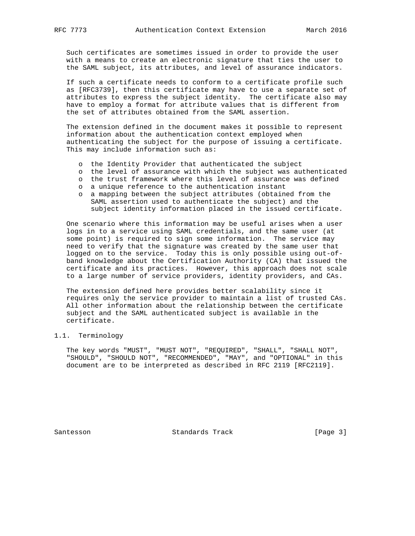Such certificates are sometimes issued in order to provide the user with a means to create an electronic signature that ties the user to the SAML subject, its attributes, and level of assurance indicators.

 If such a certificate needs to conform to a certificate profile such as [RFC3739], then this certificate may have to use a separate set of attributes to express the subject identity. The certificate also may have to employ a format for attribute values that is different from the set of attributes obtained from the SAML assertion.

 The extension defined in the document makes it possible to represent information about the authentication context employed when authenticating the subject for the purpose of issuing a certificate. This may include information such as:

- o the Identity Provider that authenticated the subject
- o the level of assurance with which the subject was authenticated
- o the trust framework where this level of assurance was defined
- o a unique reference to the authentication instant
- o a mapping between the subject attributes (obtained from the SAML assertion used to authenticate the subject) and the subject identity information placed in the issued certificate.

 One scenario where this information may be useful arises when a user logs in to a service using SAML credentials, and the same user (at some point) is required to sign some information. The service may need to verify that the signature was created by the same user that logged on to the service. Today this is only possible using out-of band knowledge about the Certification Authority (CA) that issued the certificate and its practices. However, this approach does not scale to a large number of service providers, identity providers, and CAs.

 The extension defined here provides better scalability since it requires only the service provider to maintain a list of trusted CAs. All other information about the relationship between the certificate subject and the SAML authenticated subject is available in the certificate.

## 1.1. Terminology

 The key words "MUST", "MUST NOT", "REQUIRED", "SHALL", "SHALL NOT", "SHOULD", "SHOULD NOT", "RECOMMENDED", "MAY", and "OPTIONAL" in this document are to be interpreted as described in RFC 2119 [RFC2119].

Santesson Standards Track [Page 3]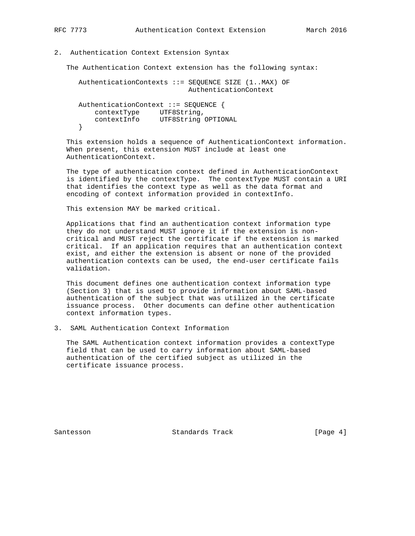### 2. Authentication Context Extension Syntax

The Authentication Context extension has the following syntax:

 AuthenticationContexts ::= SEQUENCE SIZE (1..MAX) OF AuthenticationContext AuthenticationContext ::= SEQUENCE { contextType UTF8String, contextInfo UTF8String OPTIONAL }

 This extension holds a sequence of AuthenticationContext information. When present, this extension MUST include at least one AuthenticationContext.

 The type of authentication context defined in AuthenticationContext is identified by the contextType. The contextType MUST contain a URI that identifies the context type as well as the data format and encoding of context information provided in contextInfo.

This extension MAY be marked critical.

 Applications that find an authentication context information type they do not understand MUST ignore it if the extension is non critical and MUST reject the certificate if the extension is marked critical. If an application requires that an authentication context exist, and either the extension is absent or none of the provided authentication contexts can be used, the end-user certificate fails validation.

 This document defines one authentication context information type (Section 3) that is used to provide information about SAML-based authentication of the subject that was utilized in the certificate issuance process. Other documents can define other authentication context information types.

3. SAML Authentication Context Information

 The SAML Authentication context information provides a contextType field that can be used to carry information about SAML-based authentication of the certified subject as utilized in the certificate issuance process.

Santesson Standards Track [Page 4]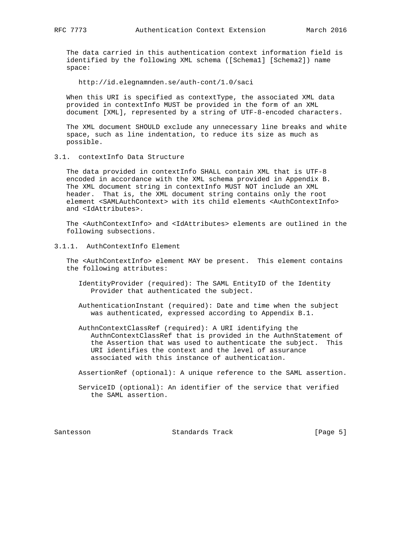The data carried in this authentication context information field is identified by the following XML schema ([Schema1] [Schema2]) name space:

http://id.elegnamnden.se/auth-cont/1.0/saci

 When this URI is specified as contextType, the associated XML data provided in contextInfo MUST be provided in the form of an XML document [XML], represented by a string of UTF-8-encoded characters.

 The XML document SHOULD exclude any unnecessary line breaks and white space, such as line indentation, to reduce its size as much as possible.

3.1. contextInfo Data Structure

 The data provided in contextInfo SHALL contain XML that is UTF-8 encoded in accordance with the XML schema provided in Appendix B. The XML document string in contextInfo MUST NOT include an XML header. That is, the XML document string contains only the root element <SAMLAuthContext> with its child elements <AuthContextInfo> and <IdAttributes>.

 The <AuthContextInfo> and <IdAttributes> elements are outlined in the following subsections.

3.1.1. AuthContextInfo Element

 The <AuthContextInfo> element MAY be present. This element contains the following attributes:

- IdentityProvider (required): The SAML EntityID of the Identity Provider that authenticated the subject.
- AuthenticationInstant (required): Date and time when the subject was authenticated, expressed according to Appendix B.1.
- AuthnContextClassRef (required): A URI identifying the AuthnContextClassRef that is provided in the AuthnStatement of the Assertion that was used to authenticate the subject. This URI identifies the context and the level of assurance associated with this instance of authentication.

AssertionRef (optional): A unique reference to the SAML assertion.

 ServiceID (optional): An identifier of the service that verified the SAML assertion.

Santesson Standards Track [Page 5]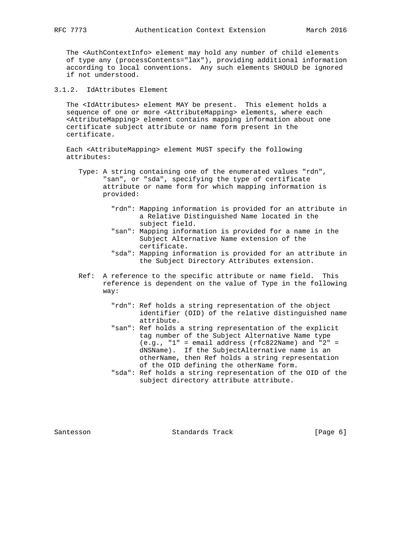The <AuthContextInfo> element may hold any number of child elements of type any (processContents="lax"), providing additional information according to local conventions. Any such elements SHOULD be ignored if not understood.

3.1.2. IdAttributes Element

 The <IdAttributes> element MAY be present. This element holds a sequence of one or more <AttributeMapping> elements, where each <AttributeMapping> element contains mapping information about one certificate subject attribute or name form present in the certificate.

 Each <AttributeMapping> element MUST specify the following attributes:

- Type: A string containing one of the enumerated values "rdn", "san", or "sda", specifying the type of certificate attribute or name form for which mapping information is provided:
	- "rdn": Mapping information is provided for an attribute in a Relative Distinguished Name located in the subject field.
	- "san": Mapping information is provided for a name in the Subject Alternative Name extension of the certificate.
	- "sda": Mapping information is provided for an attribute in the Subject Directory Attributes extension.
- Ref: A reference to the specific attribute or name field. This reference is dependent on the value of Type in the following way:
	- "rdn": Ref holds a string representation of the object identifier (OID) of the relative distinguished name attribute.
	- "san": Ref holds a string representation of the explicit tag number of the Subject Alternative Name type (e.g., "1" = email address (rfc822Name) and "2" = dNSName). If the SubjectAlternative name is an otherName, then Ref holds a string representation of the OID defining the otherName form.
	- "sda": Ref holds a string representation of the OID of the subject directory attribute attribute.

Santesson Standards Track [Page 6]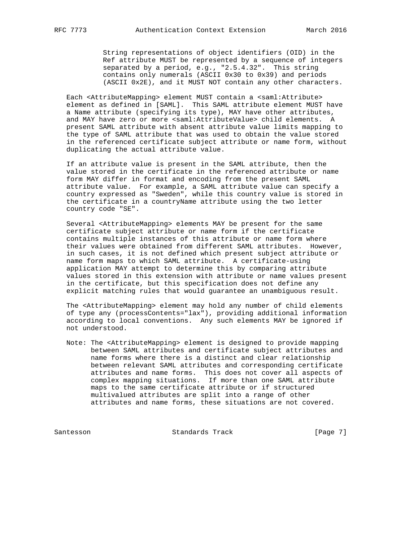String representations of object identifiers (OID) in the Ref attribute MUST be represented by a sequence of integers separated by a period, e.g., "2.5.4.32". This string contains only numerals (ASCII 0x30 to 0x39) and periods (ASCII 0x2E), and it MUST NOT contain any other characters.

Each <AttributeMapping> element MUST contain a <saml:Attribute> element as defined in [SAML]. This SAML attribute element MUST have a Name attribute (specifying its type), MAY have other attributes, and MAY have zero or more <saml:AttributeValue> child elements. A present SAML attribute with absent attribute value limits mapping to the type of SAML attribute that was used to obtain the value stored in the referenced certificate subject attribute or name form, without duplicating the actual attribute value.

 If an attribute value is present in the SAML attribute, then the value stored in the certificate in the referenced attribute or name form MAY differ in format and encoding from the present SAML attribute value. For example, a SAML attribute value can specify a country expressed as "Sweden", while this country value is stored in the certificate in a countryName attribute using the two letter country code "SE".

 Several <AttributeMapping> elements MAY be present for the same certificate subject attribute or name form if the certificate contains multiple instances of this attribute or name form where their values were obtained from different SAML attributes. However, in such cases, it is not defined which present subject attribute or name form maps to which SAML attribute. A certificate-using application MAY attempt to determine this by comparing attribute values stored in this extension with attribute or name values present in the certificate, but this specification does not define any explicit matching rules that would guarantee an unambiguous result.

 The <AttributeMapping> element may hold any number of child elements of type any (processContents="lax"), providing additional information according to local conventions. Any such elements MAY be ignored if not understood.

 Note: The <AttributeMapping> element is designed to provide mapping between SAML attributes and certificate subject attributes and name forms where there is a distinct and clear relationship between relevant SAML attributes and corresponding certificate attributes and name forms. This does not cover all aspects of complex mapping situations. If more than one SAML attribute maps to the same certificate attribute or if structured multivalued attributes are split into a range of other attributes and name forms, these situations are not covered.

Santesson Standards Track [Page 7]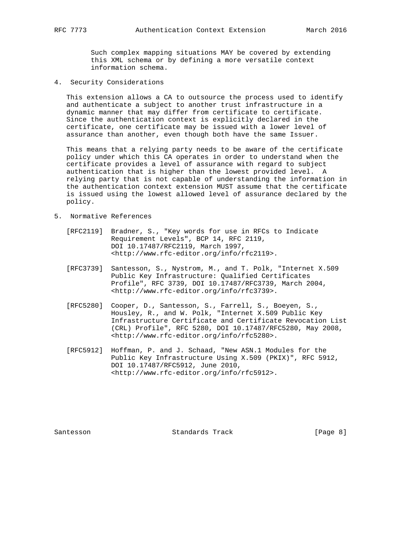Such complex mapping situations MAY be covered by extending this XML schema or by defining a more versatile context information schema.

4. Security Considerations

 This extension allows a CA to outsource the process used to identify and authenticate a subject to another trust infrastructure in a dynamic manner that may differ from certificate to certificate. Since the authentication context is explicitly declared in the certificate, one certificate may be issued with a lower level of assurance than another, even though both have the same Issuer.

 This means that a relying party needs to be aware of the certificate policy under which this CA operates in order to understand when the certificate provides a level of assurance with regard to subject authentication that is higher than the lowest provided level. A relying party that is not capable of understanding the information in the authentication context extension MUST assume that the certificate is issued using the lowest allowed level of assurance declared by the policy.

- 5. Normative References
	- [RFC2119] Bradner, S., "Key words for use in RFCs to Indicate Requirement Levels", BCP 14, RFC 2119, DOI 10.17487/RFC2119, March 1997, <http://www.rfc-editor.org/info/rfc2119>.
	- [RFC3739] Santesson, S., Nystrom, M., and T. Polk, "Internet X.509 Public Key Infrastructure: Qualified Certificates Profile", RFC 3739, DOI 10.17487/RFC3739, March 2004, <http://www.rfc-editor.org/info/rfc3739>.
	- [RFC5280] Cooper, D., Santesson, S., Farrell, S., Boeyen, S., Housley, R., and W. Polk, "Internet X.509 Public Key Infrastructure Certificate and Certificate Revocation List (CRL) Profile", RFC 5280, DOI 10.17487/RFC5280, May 2008, <http://www.rfc-editor.org/info/rfc5280>.
	- [RFC5912] Hoffman, P. and J. Schaad, "New ASN.1 Modules for the Public Key Infrastructure Using X.509 (PKIX)", RFC 5912, DOI 10.17487/RFC5912, June 2010, <http://www.rfc-editor.org/info/rfc5912>.

Santesson Standards Track [Page 8]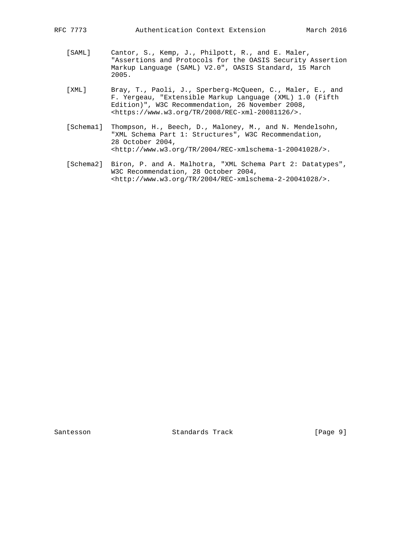- [SAML] Cantor, S., Kemp, J., Philpott, R., and E. Maler, "Assertions and Protocols for the OASIS Security Assertion Markup Language (SAML) V2.0", OASIS Standard, 15 March 2005.
- [XML] Bray, T., Paoli, J., Sperberg-McQueen, C., Maler, E., and F. Yergeau, "Extensible Markup Language (XML) 1.0 (Fifth Edition)", W3C Recommendation, 26 November 2008, <https://www.w3.org/TR/2008/REC-xml-20081126/>.
- [Schema1] Thompson, H., Beech, D., Maloney, M., and N. Mendelsohn, "XML Schema Part 1: Structures", W3C Recommendation, 28 October 2004, <http://www.w3.org/TR/2004/REC-xmlschema-1-20041028/>.
- [Schema2] Biron, P. and A. Malhotra, "XML Schema Part 2: Datatypes", W3C Recommendation, 28 October 2004, <http://www.w3.org/TR/2004/REC-xmlschema-2-20041028/>.

Santesson Standards Track [Page 9]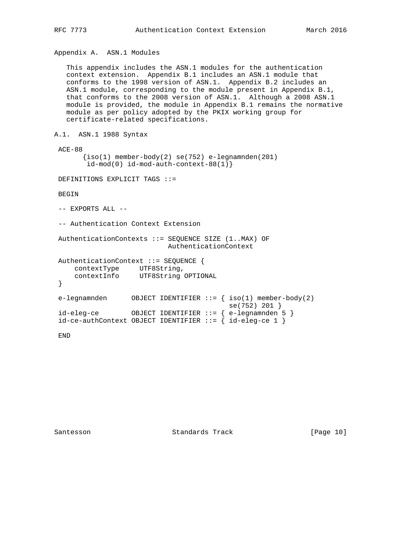Appendix A. ASN.1 Modules

 This appendix includes the ASN.1 modules for the authentication context extension. Appendix B.1 includes an ASN.1 module that conforms to the 1998 version of ASN.1. Appendix B.2 includes an ASN.1 module, corresponding to the module present in Appendix B.1, that conforms to the 2008 version of ASN.1. Although a 2008 ASN.1 module is provided, the module in Appendix B.1 remains the normative module as per policy adopted by the PKIX working group for certificate-related specifications.

```
A.1. ASN.1 1988 Syntax
```
 ACE-88  $\{iso(1)$  member-body(2) se(752) e-legnamnden(201) id-mod(0) id-mod-auth-context-88(1)}

DEFINITIONS EXPLICIT TAGS ::=

BEGIN

-- EXPORTS ALL --

-- Authentication Context Extension

 AuthenticationContexts ::= SEQUENCE SIZE (1..MAX) OF AuthenticationContext

```
 AuthenticationContext ::= SEQUENCE {
   contextType UTF8String,
    contextInfo UTF8String OPTIONAL
 }
 e-legnamnden OBJECT IDENTIFIER ::= { iso(1) member-body(2)
 se(752) 201 }
 id-eleg-ce OBJECT IDENTIFIER ::= { e-legnamnden 5 }
id-ce-authContext OBJECT IDENTIFYER ::= { id-eleg-ce 1 }
```
END

Santesson Standards Track [Page 10]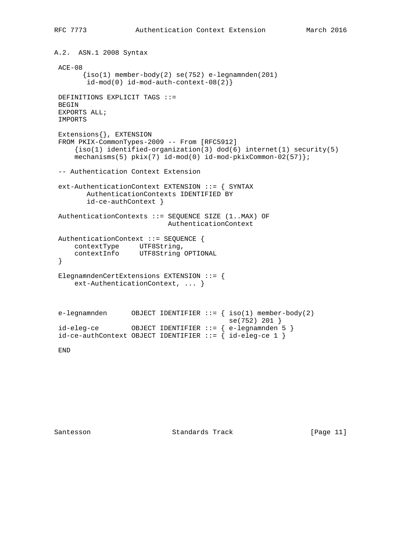```
A.2. ASN.1 2008 Syntax
 ACE-08
      \{iso(1) member-body(2) se(752) e-legnamnden(201)
       id-mod(0) id-mod-auth-controlext-08(2) DEFINITIONS EXPLICIT TAGS ::=
 BEGIN
 EXPORTS ALL;
 IMPORTS
 Extensions{}, EXTENSION
 FROM PKIX-CommonTypes-2009 -- From [RFC5912]
    \{iso(1) identified-organization(3) dod(6) internet(1) security(5)
    mechanisms(5) pkix(7) id-mod(0) id-mod-pkixCommon-02(57) };
 -- Authentication Context Extension
 ext-AuthenticationContext EXTENSION ::= { SYNTAX
        AuthenticationContexts IDENTIFIED BY
        id-ce-authContext }
 AuthenticationContexts ::= SEQUENCE SIZE (1..MAX) OF
                           AuthenticationContext
 AuthenticationContext ::= SEQUENCE {
 contextType UTF8String,
 contextInfo UTF8String OPTIONAL
  }
 ElegnamndenCertExtensions EXTENSION ::= {
     ext-AuthenticationContext, ... }
e-legnamnden OBJECT IDENTIFIER ::= { iso(1) member-body(2)
 se(752) 201 }
 id-eleg-ce OBJECT IDENTIFIER ::= { e-legnamnden 5 }
id-ce-authContext OBJECT IDENTIFIER ::= { id-eleg-ce 1 }
```
END

Santesson Standards Track [Page 11]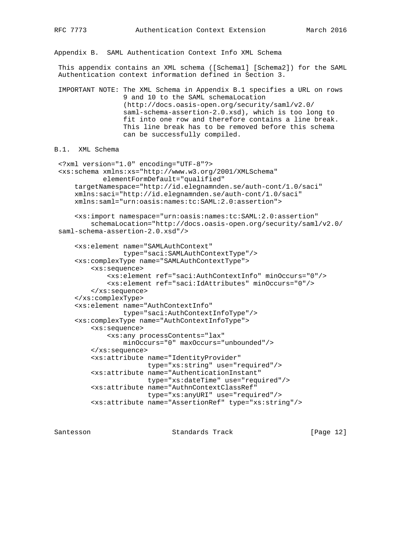Appendix B. SAML Authentication Context Info XML Schema

 This appendix contains an XML schema ([Schema1] [Schema2]) for the SAML Authentication context information defined in Section 3.

 IMPORTANT NOTE: The XML Schema in Appendix B.1 specifies a URL on rows 9 and 10 to the SAML schemaLocation (http://docs.oasis-open.org/security/saml/v2.0/ saml-schema-assertion-2.0.xsd), which is too long to fit into one row and therefore contains a line break. This line break has to be removed before this schema can be successfully compiled.

```
B.1. XML Schema
```

```
 <?xml version="1.0" encoding="UTF-8"?>
 <xs:schema xmlns:xs="http://www.w3.org/2001/XMLSchema"
            elementFormDefault="qualified"
     targetNamespace="http://id.elegnamnden.se/auth-cont/1.0/saci"
     xmlns:saci="http://id.elegnamnden.se/auth-cont/1.0/saci"
     xmlns:saml="urn:oasis:names:tc:SAML:2.0:assertion">
     <xs:import namespace="urn:oasis:names:tc:SAML:2.0:assertion"
         schemaLocation="http://docs.oasis-open.org/security/saml/v2.0/
 saml-schema-assertion-2.0.xsd"/>
     <xs:element name="SAMLAuthContext"
                 type="saci:SAMLAuthContextType"/>
     <xs:complexType name="SAMLAuthContextType">
         <xs:sequence>
             <xs:element ref="saci:AuthContextInfo" minOccurs="0"/>
             <xs:element ref="saci:IdAttributes" minOccurs="0"/>
         </xs:sequence>
     </xs:complexType>
     <xs:element name="AuthContextInfo"
                 type="saci:AuthContextInfoType"/>
     <xs:complexType name="AuthContextInfoType">
         <xs:sequence>
             <xs:any processContents="lax"
                 minOccurs="0" maxOccurs="unbounded"/>
         </xs:sequence>
         <xs:attribute name="IdentityProvider"
                       type="xs:string" use="required"/>
         <xs:attribute name="AuthenticationInstant"
                       type="xs:dateTime" use="required"/>
         <xs:attribute name="AuthnContextClassRef"
                       type="xs:anyURI" use="required"/>
         <xs:attribute name="AssertionRef" type="xs:string"/>
```
Santesson Standards Track [Paqe 12]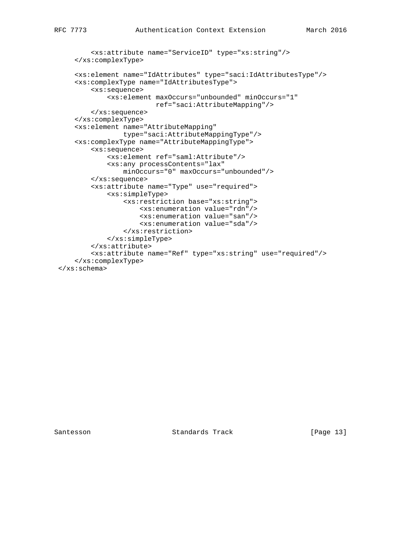```
 <xs:attribute name="ServiceID" type="xs:string"/>
     </xs:complexType>
     <xs:element name="IdAttributes" type="saci:IdAttributesType"/>
     <xs:complexType name="IdAttributesType">
         <xs:sequence>
             <xs:element maxOccurs="unbounded" minOccurs="1"
                        ref="saci:AttributeMapping"/>
         </xs:sequence>
     </xs:complexType>
     <xs:element name="AttributeMapping"
                 type="saci:AttributeMappingType"/>
     <xs:complexType name="AttributeMappingType">
         <xs:sequence>
             <xs:element ref="saml:Attribute"/>
             <xs:any processContents="lax"
                 minOccurs="0" maxOccurs="unbounded"/>
         </xs:sequence>
         <xs:attribute name="Type" use="required">
             <xs:simpleType>
                 <xs:restriction base="xs:string">
                     <xs:enumeration value="rdn"/>
                     <xs:enumeration value="san"/>
                     <xs:enumeration value="sda"/>
                 </xs:restriction>
             </xs:simpleType>
         </xs:attribute>
         <xs:attribute name="Ref" type="xs:string" use="required"/>
     </xs:complexType>
 </xs:schema>
```
Santesson Standards Track [Page 13]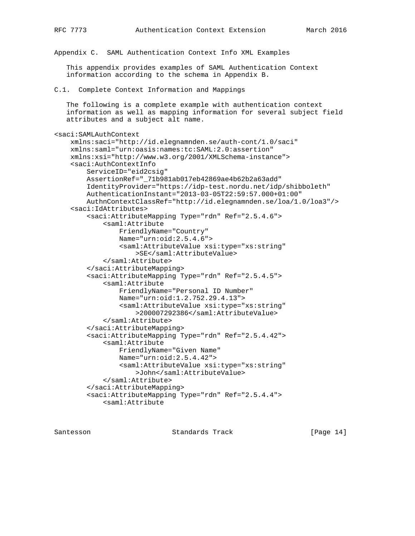Appendix C. SAML Authentication Context Info XML Examples

 This appendix provides examples of SAML Authentication Context information according to the schema in Appendix B.

C.1. Complete Context Information and Mappings

 The following is a complete example with authentication context information as well as mapping information for several subject field attributes and a subject alt name.

```
<saci:SAMLAuthContext
     xmlns:saci="http://id.elegnamnden.se/auth-cont/1.0/saci"
     xmlns:saml="urn:oasis:names:tc:SAML:2.0:assertion"
     xmlns:xsi="http://www.w3.org/2001/XMLSchema-instance">
     <saci:AuthContextInfo
         ServiceID="eid2csig"
         AssertionRef="_71b981ab017eb42869ae4b62b2a63add"
         IdentityProvider="https://idp-test.nordu.net/idp/shibboleth"
         AuthenticationInstant="2013-03-05T22:59:57.000+01:00"
         AuthnContextClassRef="http://id.elegnamnden.se/loa/1.0/loa3"/>
     <saci:IdAttributes>
         <saci:AttributeMapping Type="rdn" Ref="2.5.4.6">
             <saml:Attribute
                 FriendlyName="Country"
                 Name="urn:oid:2.5.4.6">
                 <saml:AttributeValue xsi:type="xs:string"
                     >SE</saml:AttributeValue>
             </saml:Attribute>
         </saci:AttributeMapping>
         <saci:AttributeMapping Type="rdn" Ref="2.5.4.5">
             <saml:Attribute
                 FriendlyName="Personal ID Number"
                 Name="urn:oid:1.2.752.29.4.13">
                 <saml:AttributeValue xsi:type="xs:string"
                     >200007292386</saml:AttributeValue>
             </saml:Attribute>
         </saci:AttributeMapping>
         <saci:AttributeMapping Type="rdn" Ref="2.5.4.42">
             <saml:Attribute
                 FriendlyName="Given Name"
                 Name="urn:oid:2.5.4.42">
                 <saml:AttributeValue xsi:type="xs:string"
                    >John</saml:AttributeValue>
             </saml:Attribute>
         </saci:AttributeMapping>
         <saci:AttributeMapping Type="rdn" Ref="2.5.4.4">
             <saml:Attribute
```
Santesson Standards Track [Page 14]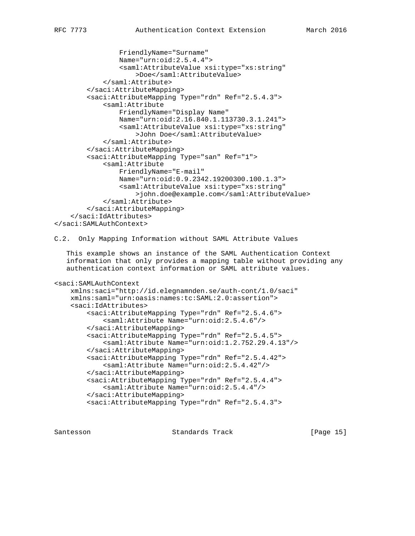```
 FriendlyName="Surname"
                 Name="urn:oid:2.5.4.4">
                 <saml:AttributeValue xsi:type="xs:string"
                      >Doe</saml:AttributeValue>
             </saml:Attribute>
         </saci:AttributeMapping>
         <saci:AttributeMapping Type="rdn" Ref="2.5.4.3">
             <saml:Attribute
                 FriendlyName="Display Name"
                 Name="urn:oid:2.16.840.1.113730.3.1.241">
                 <saml:AttributeValue xsi:type="xs:string"
                      >John Doe</saml:AttributeValue>
             </saml:Attribute>
         </saci:AttributeMapping>
         <saci:AttributeMapping Type="san" Ref="1">
             <saml:Attribute
                 FriendlyName="E-mail"
                 Name="urn:oid:0.9.2342.19200300.100.1.3">
                 <saml:AttributeValue xsi:type="xs:string"
                      >john.doe@example.com</saml:AttributeValue>
             </saml:Attribute>
         </saci:AttributeMapping>
     </saci:IdAttributes>
</saci:SAMLAuthContext>
```
C.2. Only Mapping Information without SAML Attribute Values

 This example shows an instance of the SAML Authentication Context information that only provides a mapping table without providing any authentication context information or SAML attribute values.

```
<saci:SAMLAuthContext
```

```
 xmlns:saci="http://id.elegnamnden.se/auth-cont/1.0/saci"
 xmlns:saml="urn:oasis:names:tc:SAML:2.0:assertion">
 <saci:IdAttributes>
     <saci:AttributeMapping Type="rdn" Ref="2.5.4.6">
         <saml:Attribute Name="urn:oid:2.5.4.6"/>
     </saci:AttributeMapping>
     <saci:AttributeMapping Type="rdn" Ref="2.5.4.5">
         <saml:Attribute Name="urn:oid:1.2.752.29.4.13"/>
     </saci:AttributeMapping>
     <saci:AttributeMapping Type="rdn" Ref="2.5.4.42">
         <saml:Attribute Name="urn:oid:2.5.4.42"/>
     </saci:AttributeMapping>
     <saci:AttributeMapping Type="rdn" Ref="2.5.4.4">
         <saml:Attribute Name="urn:oid:2.5.4.4"/>
     </saci:AttributeMapping>
     <saci:AttributeMapping Type="rdn" Ref="2.5.4.3">
```
Santesson Standards Track [Page 15]